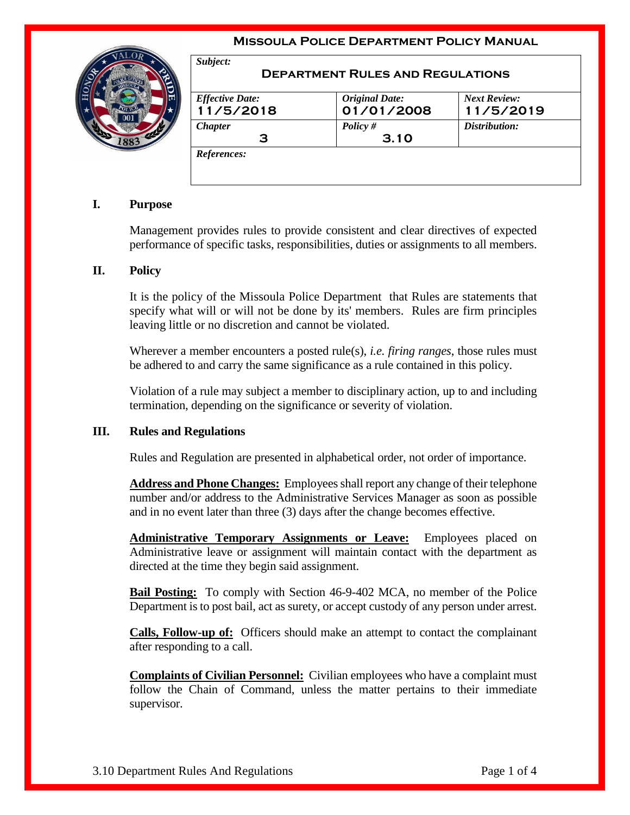## **Missoula Police Department Policy Manual**



| <b>Effective Date:</b> | <b>Original Date:</b> | <b>Next Review:</b> |
|------------------------|-----------------------|---------------------|
| 11/5/2018              | 01/01/2008            | 11/5/2019           |
| <b>Chapter</b>         | Policy $#$            | Distribution:       |
| з                      | 3.10                  |                     |

## **I. Purpose**

Management provides rules to provide consistent and clear directives of expected performance of specific tasks, responsibilities, duties or assignments to all members.

## **II. Policy**

It is the policy of the Missoula Police Department that Rules are statements that specify what will or will not be done by its' members. Rules are firm principles leaving little or no discretion and cannot be violated.

Wherever a member encounters a posted rule(s), *i.e. firing ranges*, those rules must be adhered to and carry the same significance as a rule contained in this policy.

Violation of a rule may subject a member to disciplinary action, up to and including termination, depending on the significance or severity of violation.

## **III. Rules and Regulations**

Rules and Regulation are presented in alphabetical order, not order of importance.

**Address and Phone Changes:** Employees shall report any change of their telephone number and/or address to the Administrative Services Manager as soon as possible and in no event later than three (3) days after the change becomes effective.

**Administrative Temporary Assignments or Leave:** Employees placed on Administrative leave or assignment will maintain contact with the department as directed at the time they begin said assignment.

**Bail Posting:** To comply with Section 46-9-402 MCA, no member of the Police Department is to post bail, act as surety, or accept custody of any person under arrest.

**Calls, Follow-up of:** Officers should make an attempt to contact the complainant after responding to a call.

**Complaints of Civilian Personnel:** Civilian employees who have a complaint must follow the Chain of Command, unless the matter pertains to their immediate supervisor.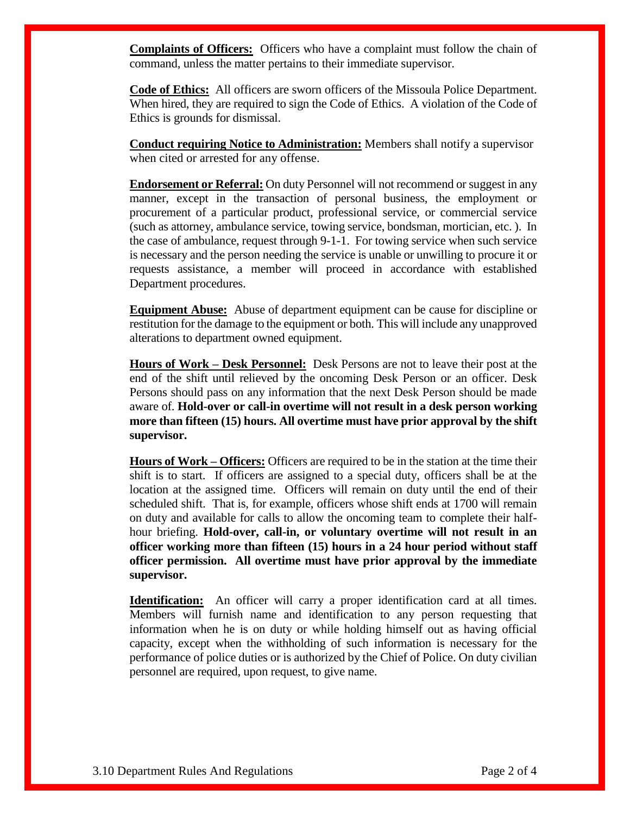**Complaints of Officers:** Officers who have a complaint must follow the chain of command, unless the matter pertains to their immediate supervisor.

**Code of Ethics:** All officers are sworn officers of the Missoula Police Department. When hired, they are required to sign the Code of Ethics. A violation of the Code of Ethics is grounds for dismissal.

**Conduct requiring Notice to Administration:** Members shall notify a supervisor when cited or arrested for any offense.

**Endorsement or Referral:** On duty Personnel will not recommend or suggest in any manner, except in the transaction of personal business, the employment or procurement of a particular product, professional service, or commercial service (such as attorney, ambulance service, towing service, bondsman, mortician, etc. ). In the case of ambulance, request through 9-1-1. For towing service when such service is necessary and the person needing the service is unable or unwilling to procure it or requests assistance, a member will proceed in accordance with established Department procedures.

**Equipment Abuse:** Abuse of department equipment can be cause for discipline or restitution for the damage to the equipment or both. This will include any unapproved alterations to department owned equipment.

**Hours of Work – Desk Personnel:** Desk Persons are not to leave their post at the end of the shift until relieved by the oncoming Desk Person or an officer. Desk Persons should pass on any information that the next Desk Person should be made aware of. **Hold-over or call-in overtime will not result in a desk person working more than fifteen (15) hours. All overtime must have prior approval by the shift supervisor.**

**Hours of Work – Officers:** Officers are required to be in the station at the time their shift is to start. If officers are assigned to a special duty, officers shall be at the location at the assigned time. Officers will remain on duty until the end of their scheduled shift. That is, for example, officers whose shift ends at 1700 will remain on duty and available for calls to allow the oncoming team to complete their halfhour briefing. **Hold-over, call-in, or voluntary overtime will not result in an officer working more than fifteen (15) hours in a 24 hour period without staff officer permission. All overtime must have prior approval by the immediate supervisor.**

**Identification:** An officer will carry a proper identification card at all times. Members will furnish name and identification to any person requesting that information when he is on duty or while holding himself out as having official capacity, except when the withholding of such information is necessary for the performance of police duties or is authorized by the Chief of Police. On duty civilian personnel are required, upon request, to give name.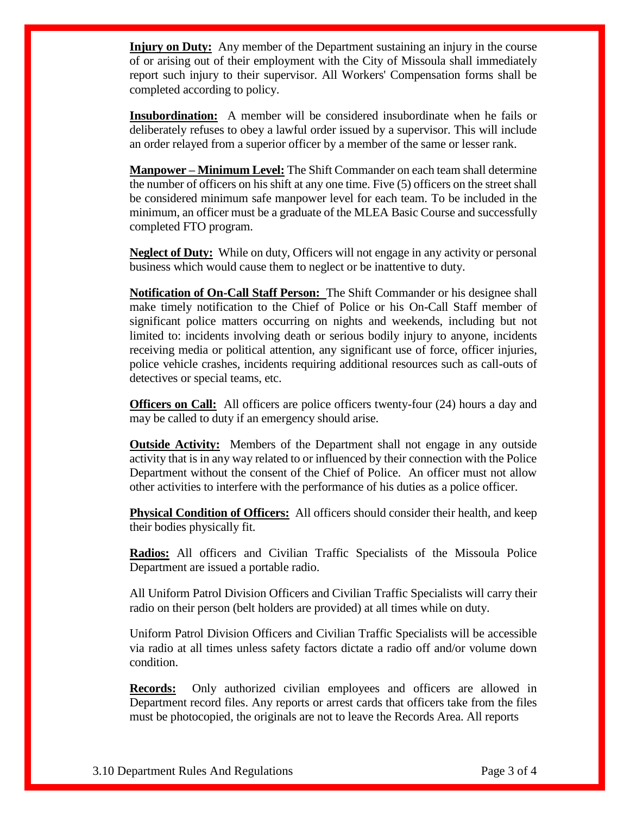**Injury on Duty:** Any member of the Department sustaining an injury in the course of or arising out of their employment with the City of Missoula shall immediately report such injury to their supervisor. All Workers' Compensation forms shall be completed according to policy.

**Insubordination:** A member will be considered insubordinate when he fails or deliberately refuses to obey a lawful order issued by a supervisor. This will include an order relayed from a superior officer by a member of the same or lesser rank.

**Manpower – Minimum Level:** The Shift Commander on each team shall determine the number of officers on his shift at any one time. Five (5) officers on the street shall be considered minimum safe manpower level for each team. To be included in the minimum, an officer must be a graduate of the MLEA Basic Course and successfully completed FTO program.

**Neglect of Duty:** While on duty, Officers will not engage in any activity or personal business which would cause them to neglect or be inattentive to duty.

**Notification of On-Call Staff Person:** The Shift Commander or his designee shall make timely notification to the Chief of Police or his On-Call Staff member of significant police matters occurring on nights and weekends, including but not limited to: incidents involving death or serious bodily injury to anyone, incidents receiving media or political attention, any significant use of force, officer injuries, police vehicle crashes, incidents requiring additional resources such as call-outs of detectives or special teams, etc.

**Officers on Call:** All officers are police officers twenty-four (24) hours a day and may be called to duty if an emergency should arise.

**Outside Activity:** Members of the Department shall not engage in any outside activity that is in any way related to or influenced by their connection with the Police Department without the consent of the Chief of Police. An officer must not allow other activities to interfere with the performance of his duties as a police officer.

**Physical Condition of Officers:** All officers should consider their health, and keep their bodies physically fit.

**Radios:** All officers and Civilian Traffic Specialists of the Missoula Police Department are issued a portable radio.

All Uniform Patrol Division Officers and Civilian Traffic Specialists will carry their radio on their person (belt holders are provided) at all times while on duty.

Uniform Patrol Division Officers and Civilian Traffic Specialists will be accessible via radio at all times unless safety factors dictate a radio off and/or volume down condition.

**Records:** Only authorized civilian employees and officers are allowed in Department record files. Any reports or arrest cards that officers take from the files must be photocopied, the originals are not to leave the Records Area. All reports